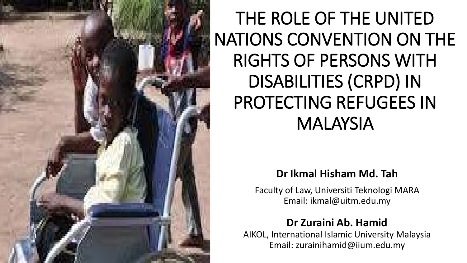

### THE ROLE OF THE UNITED NATIONS CONVENTION ON THE RIGHTS OF PERSONS WITH DISABILITIES (CRPD) IN PROTECTING REFUGEES IN MALAYSIA

#### **Dr Ikmal Hisham Md. Tah**

Faculty of Law, Universiti Teknologi MARA Email: ikmal@uitm.edu.my

#### **Dr Zuraini Ab. Hamid**

AIKOL, International Islamic University Malaysia Email: zurainihamid@iium.edu.my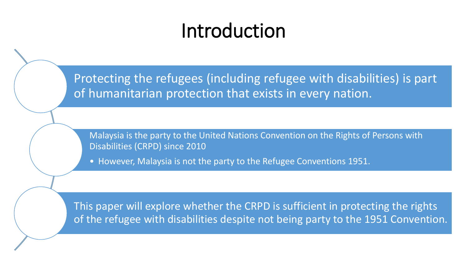# Introduction

Protecting the refugees (including refugee with disabilities) is part of humanitarian protection that exists in every nation.

Malaysia is the party to the United Nations Convention on the Rights of Persons with Disabilities (CRPD) since 2010

• However, Malaysia is not the party to the Refugee Conventions 1951.

This paper will explore whether the CRPD is sufficient in protecting the rights of the refugee with disabilities despite not being party to the 1951 Convention.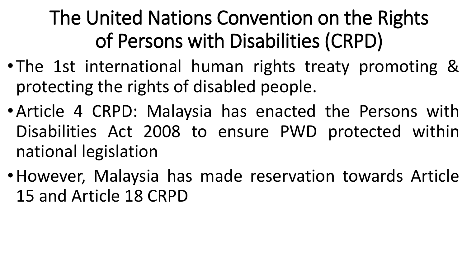# The United Nations Convention on the Rights of Persons with Disabilities (CRPD)

- The 1st international human rights treaty promoting & protecting the rights of disabled people.
- •Article 4 CRPD: Malaysia has enacted the Persons with Disabilities Act 2008 to ensure PWD protected within national legislation
- •However, Malaysia has made reservation towards Article 15 and Article 18 CRPD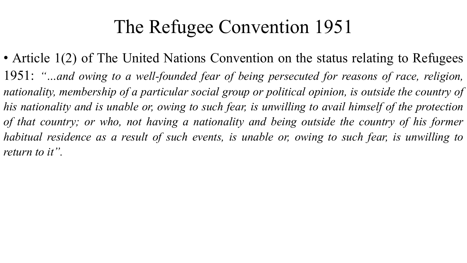### The Refugee Convention 1951

• Article 1(2) of The United Nations Convention on the status relating to Refugees 1951: *"…and owing to a well-founded fear of being persecuted for reasons of race, religion, nationality, membership of a particular social group or political opinion, is outside the country of* his nationality and is unable or, owing to such fear, is unwilling to avail himself of the protection *of that country; or who, not having a nationality and being outside the country of his former habitual residence as a result of such events, is unable or, owing to such fear, is unwilling to return to it".*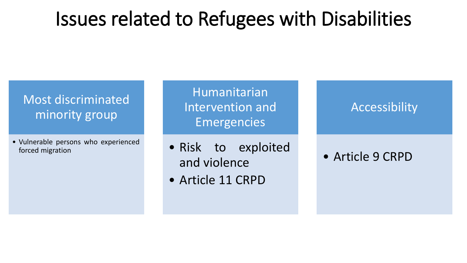### Issues related to Refugees with Disabilities

### Most discriminated minority group

• Vulnerable persons who experienced forced migration

Humanitarian Intervention and Emergencies

- Risk to exploited and violence
- Article 11 CRPD

### Accessibility

### • Article 9 CRPD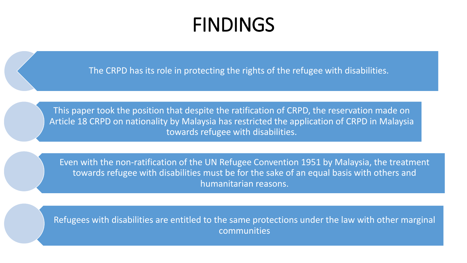### FINDINGS

The CRPD has its role in protecting the rights of the refugee with disabilities.

This paper took the position that despite the ratification of CRPD, the reservation made on Article 18 CRPD on nationality by Malaysia has restricted the application of CRPD in Malaysia towards refugee with disabilities.

Even with the non-ratification of the UN Refugee Convention 1951 by Malaysia, the treatment towards refugee with disabilities must be for the sake of an equal basis with others and humanitarian reasons.

Refugees with disabilities are entitled to the same protections under the law with other marginal communities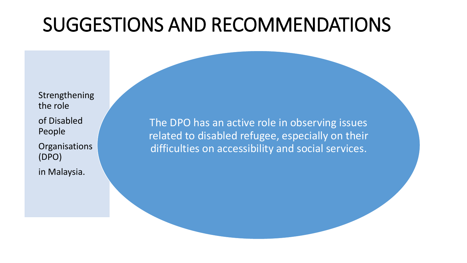# SUGGESTIONS AND RECOMMENDATIONS

Strengthening the role of Disabled People

**Organisations** (DPO)

in Malaysia.

The DPO has an active role in observing issues related to disabled refugee, especially on their difficulties on accessibility and social services.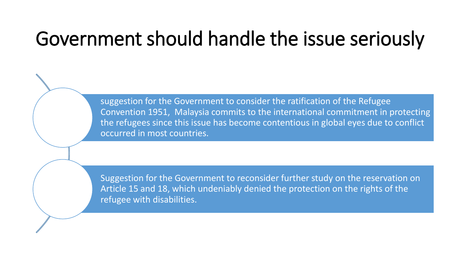# Government should handle the issue seriously

suggestion for the Government to consider the ratification of the Refugee Convention 1951, Malaysia commits to the international commitment in protecting the refugees since this issue has become contentious in global eyes due to conflict occurred in most countries.

Suggestion for the Government to reconsider further study on the reservation on Article 15 and 18, which undeniably denied the protection on the rights of the refugee with disabilities.